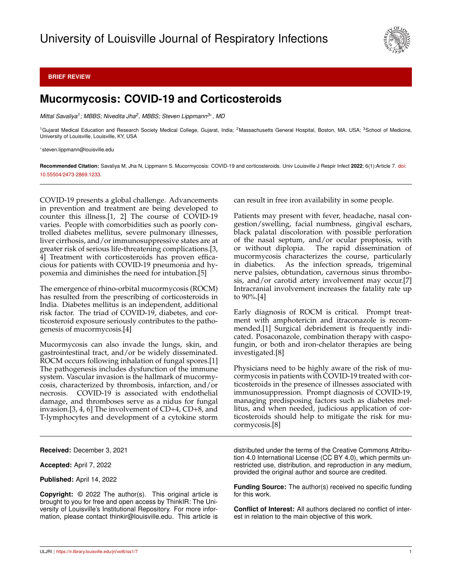

## **BRIEF REVIEW**

## **Mucormycosis: COVID-19 and Corticosteroids**

*Mittal Savaliya<sup>1</sup> ; MBBS; Nivedita Jha<sup>2</sup> , MBBS; Steven Lippmann3*<sup>∗</sup> *, MD*

<sup>1</sup>Gujarat Medical Education and Research Society Medical College, Gujarat, India; <sup>2</sup>Massachusetts General Hospital, Boston, MA, USA; <sup>3</sup>School of Medicine, University of Louisville, Louisville, KY, USA

<sup>∗</sup>steven.lippmann@louisville.edu

**Recommended Citation:** Savaliya M, Jha N, Lippmann S. Mucormycosis: COVID-19 and corticosteroids. Univ Louisville J Respir Infect **2022**; 6(1):Article 7. [doi:](http://dx.doi.org/10.55504/2473-2869.\submissionno ) [10.55504/2473-2869.1233.](http://dx.doi.org/10.55504/2473-2869.\submissionno )

COVID-19 presents a global challenge. Advancements in prevention and treatment are being developed to counter this illness.[1, 2] The course of COVID-19 varies. People with comorbidities such as poorly controlled diabetes mellitus, severe pulmonary illnesses, liver cirrhosis, and/or immunosuppressive states are at greater risk of serious life-threatening complications.[3, 4] Treatment with corticosteroids has proven efficacious for patients with COVID-19 pneumonia and hypoxemia and diminishes the need for intubation.[5]

The emergence of rhino-orbital mucormycosis (ROCM) has resulted from the prescribing of corticosteroids in India. Diabetes mellitus is an independent, additional risk factor. The triad of COVID-19, diabetes, and corticosteroid exposure seriously contributes to the pathogenesis of mucormycosis.[4]

Mucormycosis can also invade the lungs, skin, and gastrointestinal tract, and/or be widely disseminated. ROCM occurs following inhalation of fungal spores.[1] The pathogenesis includes dysfunction of the immune system. Vascular invasion is the hallmark of mucormycosis, characterized by thrombosis, infarction, and/or necrosis. COVID-19 is associated with endothelial damage, and thromboses serve as a nidus for fungal invasion.[3, 4, 6] The involvement of CD+4, CD+8, and T-lymphocytes and development of a cytokine storm

**Received:** December 3, 2021

**Accepted:** April 7, 2022

**Published:** April 14, 2022

**Copyright:** © 2022 The author(s). This original article is brought to you for free and open access by ThinkIR: The University of Louisville's Institutional Repository. For more information, please contact thinkir@louisville.edu. This article is can result in free iron availability in some people.

Patients may present with fever, headache, nasal congestion/swelling, facial numbness, gingival eschars, black palatal discoloration with possible perforation of the nasal septum, and/or ocular proptosis, with or without diplopia. The rapid dissemination of The rapid dissemination of mucormycosis characterizes the course, particularly in diabetics. As the infection spreads, trigeminal nerve palsies, obtundation, cavernous sinus thrombosis, and/or carotid artery involvement may occur.[7] Intracranial involvement increases the fatality rate up to 90%.[4]

Early diagnosis of ROCM is critical. Prompt treatment with amphotericin and itraconazole is recommended.[1] Surgical debridement is frequently indicated. Posaconazole, combination therapy with caspofungin, or both and iron-chelator therapies are being investigated.[8]

Physicians need to be highly aware of the risk of mucormycosis in patients with COVID-19 treated with corticosteroids in the presence of illnesses associated with immunosuppression. Prompt diagnosis of COVID-19, managing predisposing factors such as diabetes mellitus, and when needed, judicious application of corticosteroids should help to mitigate the risk for mucormycosis.[8]

distributed under the terms of the Creative Commons Attribution 4.0 International License (CC BY 4.0), which permits unrestricted use, distribution, and reproduction in any medium, provided the original author and source are credited.

**Funding Source:** The author(s) received no specific funding for this work.

**Conflict of Interest:** All authors declared no conflict of interest in relation to the main objective of this work.